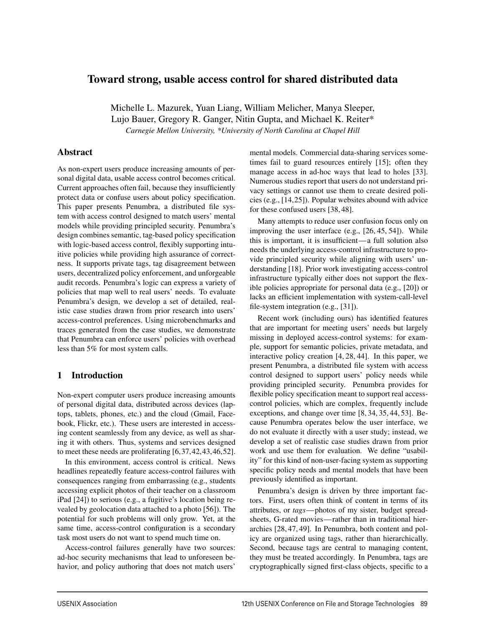## Toward strong, usable access control for shared distributed data

Michelle L. Mazurek, Yuan Liang, William Melicher, Manya Sleeper, Lujo Bauer, Gregory R. Ganger, Nitin Gupta, and Michael K. Reiter\* *Carnegie Mellon University, \*University of North Carolina at Chapel Hill*

#### Abstract

As non-expert users produce increasing amounts of personal digital data, usable access control becomes critical. Current approaches often fail, because they insufficiently protect data or confuse users about policy specification. This paper presents Penumbra, a distributed file system with access control designed to match users' mental models while providing principled security. Penumbra's design combines semantic, tag-based policy specification with logic-based access control, flexibly supporting intuitive policies while providing high assurance of correctness. It supports private tags, tag disagreement between users, decentralized policy enforcement, and unforgeable audit records. Penumbra's logic can express a variety of policies that map well to real users' needs. To evaluate Penumbra's design, we develop a set of detailed, realistic case studies drawn from prior research into users' access-control preferences. Using microbenchmarks and traces generated from the case studies, we demonstrate that Penumbra can enforce users' policies with overhead less than 5% for most system calls.

## 1 Introduction

Non-expert computer users produce increasing amounts of personal digital data, distributed across devices (laptops, tablets, phones, etc.) and the cloud (Gmail, Facebook, Flickr, etc.). These users are interested in accessing content seamlessly from any device, as well as sharing it with others. Thus, systems and services designed to meet these needs are proliferating [6,37,42,43,46,52].

In this environment, access control is critical. News headlines repeatedly feature access-control failures with consequences ranging from embarrassing (e.g., students accessing explicit photos of their teacher on a classroom iPad [24]) to serious (e.g., a fugitive's location being revealed by geolocation data attached to a photo [56]). The potential for such problems will only grow. Yet, at the same time, access-control configuration is a secondary task most users do not want to spend much time on.

Access-control failures generally have two sources: ad-hoc security mechanisms that lead to unforeseen behavior, and policy authoring that does not match users' mental models. Commercial data-sharing services sometimes fail to guard resources entirely [15]; often they manage access in ad-hoc ways that lead to holes [33]. Numerous studies report that users do not understand privacy settings or cannot use them to create desired policies (e.g., [14,25]). Popular websites abound with advice for these confused users [38, 48].

Many attempts to reduce user confusion focus only on improving the user interface (e.g., [26, 45, 54]). While this is important, it is insufficient—a full solution also needs the underlying access-control infrastructure to provide principled security while aligning with users' understanding [18]. Prior work investigating access-control infrastructure typically either does not support the flexible policies appropriate for personal data (e.g., [20]) or lacks an efficient implementation with system-call-level file-system integration (e.g., [31]).

Recent work (including ours) has identified features that are important for meeting users' needs but largely missing in deployed access-control systems: for example, support for semantic policies, private metadata, and interactive policy creation [4, 28, 44]. In this paper, we present Penumbra, a distributed file system with access control designed to support users' policy needs while providing principled security. Penumbra provides for flexible policy specification meant to support real accesscontrol policies, which are complex, frequently include exceptions, and change over time [8, 34, 35, 44, 53]. Because Penumbra operates below the user interface, we do not evaluate it directly with a user study; instead, we develop a set of realistic case studies drawn from prior work and use them for evaluation. We define "usability" for this kind of non-user-facing system as supporting specific policy needs and mental models that have been previously identified as important.

Penumbra's design is driven by three important factors. First, users often think of content in terms of its attributes, or *tags*—photos of my sister, budget spreadsheets, G-rated movies—rather than in traditional hierarchies [28, 47, 49]. In Penumbra, both content and policy are organized using tags, rather than hierarchically. Second, because tags are central to managing content, they must be treated accordingly. In Penumbra, tags are cryptographically signed first-class objects, specific to a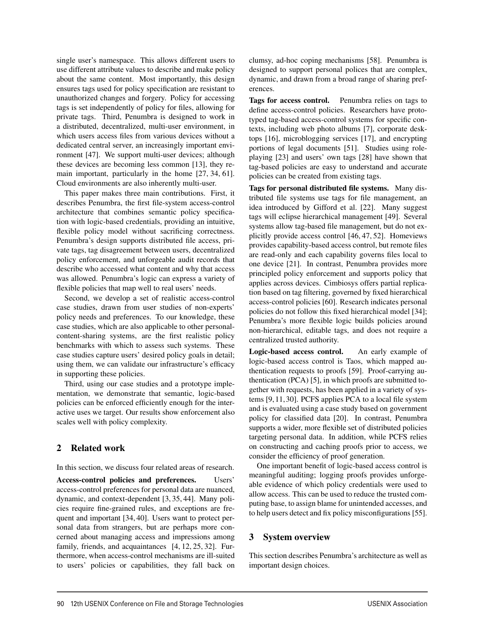single user's namespace. This allows different users to use different attribute values to describe and make policy about the same content. Most importantly, this design ensures tags used for policy specification are resistant to unauthorized changes and forgery. Policy for accessing tags is set independently of policy for files, allowing for private tags. Third, Penumbra is designed to work in a distributed, decentralized, multi-user environment, in which users access files from various devices without a dedicated central server, an increasingly important environment [47]. We support multi-user devices; although these devices are becoming less common [13], they remain important, particularly in the home [27, 34, 61]. Cloud environments are also inherently multi-user.

This paper makes three main contributions. First, it describes Penumbra, the first file-system access-control architecture that combines semantic policy specification with logic-based credentials, providing an intuitive, flexible policy model without sacrificing correctness. Penumbra's design supports distributed file access, private tags, tag disagreement between users, decentralized policy enforcement, and unforgeable audit records that describe who accessed what content and why that access was allowed. Penumbra's logic can express a variety of flexible policies that map well to real users' needs.

Second, we develop a set of realistic access-control case studies, drawn from user studies of non-experts' policy needs and preferences. To our knowledge, these case studies, which are also applicable to other personalcontent-sharing systems, are the first realistic policy benchmarks with which to assess such systems. These case studies capture users' desired policy goals in detail; using them, we can validate our infrastructure's efficacy in supporting these policies.

Third, using our case studies and a prototype implementation, we demonstrate that semantic, logic-based policies can be enforced efficiently enough for the interactive uses we target. Our results show enforcement also scales well with policy complexity.

## 2 Related work

In this section, we discuss four related areas of research.

Access-control policies and preferences. Users' access-control preferences for personal data are nuanced, dynamic, and context-dependent [3, 35, 44]. Many policies require fine-grained rules, and exceptions are frequent and important [34, 40]. Users want to protect personal data from strangers, but are perhaps more concerned about managing access and impressions among family, friends, and acquaintances [4, 12, 25, 32]. Furthermore, when access-control mechanisms are ill-suited to users' policies or capabilities, they fall back on

clumsy, ad-hoc coping mechanisms [58]. Penumbra is designed to support personal polices that are complex, dynamic, and drawn from a broad range of sharing preferences.

Tags for access control. Penumbra relies on tags to define access-control policies. Researchers have prototyped tag-based access-control systems for specific contexts, including web photo albums [7], corporate desktops [16], microblogging services [17], and encrypting portions of legal documents [51]. Studies using roleplaying [23] and users' own tags [28] have shown that tag-based policies are easy to understand and accurate policies can be created from existing tags.

Tags for personal distributed file systems. Many distributed file systems use tags for file management, an idea introduced by Gifford et al. [22]. Many suggest tags will eclipse hierarchical management [49]. Several systems allow tag-based file management, but do not explicitly provide access control [46, 47, 52]. Homeviews provides capability-based access control, but remote files are read-only and each capability governs files local to one device [21]. In contrast, Penumbra provides more principled policy enforcement and supports policy that applies across devices. Cimbiosys offers partial replication based on tag filtering, governed by fixed hierarchical access-control policies [60]. Research indicates personal policies do not follow this fixed hierarchical model [34]; Penumbra's more flexible logic builds policies around non-hierarchical, editable tags, and does not require a centralized trusted authority.

Logic-based access control. An early example of logic-based access control is Taos, which mapped authentication requests to proofs [59]. Proof-carrying authentication (PCA) [5], in which proofs are submitted together with requests, has been applied in a variety of systems [9,11,30]. PCFS applies PCA to a local file system and is evaluated using a case study based on government policy for classified data [20]. In contrast, Penumbra supports a wider, more flexible set of distributed policies targeting personal data. In addition, while PCFS relies on constructing and caching proofs prior to access, we consider the efficiency of proof generation.

One important benefit of logic-based access control is meaningful auditing; logging proofs provides unforgeable evidence of which policy credentials were used to allow access. This can be used to reduce the trusted computing base, to assign blame for unintended accesses, and to help users detect and fix policy misconfigurations [55].

## 3 System overview

2

This section describes Penumbra's architecture as well as important design choices.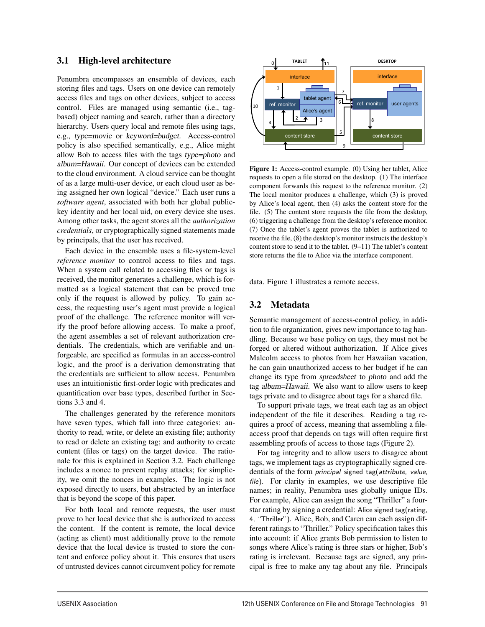## 3.1 High-level architecture

Penumbra encompasses an ensemble of devices, each storing files and tags. Users on one device can remotely access files and tags on other devices, subject to access control. Files are managed using semantic (i.e., tagbased) object naming and search, rather than a directory hierarchy. Users query local and remote files using tags, e.g., *type=movie* or *keyword=budget.* Access-control policy is also specified semantically, e.g., Alice might allow Bob to access files with the tags *type=photo* and *album=Hawaii.* Our concept of devices can be extended to the cloud environment. A cloud service can be thought of as a large multi-user device, or each cloud user as being assigned her own logical "device." Each user runs a *software agent*, associated with both her global publickey identity and her local uid, on every device she uses. Among other tasks, the agent stores all the *authorization credentials*, or cryptographically signed statements made by principals, that the user has received.

Each device in the ensemble uses a file-system-level *reference monitor* to control access to files and tags. When a system call related to accessing files or tags is received, the monitor generates a challenge, which is formatted as a logical statement that can be proved true only if the request is allowed by policy. To gain access, the requesting user's agent must provide a logical proof of the challenge. The reference monitor will verify the proof before allowing access. To make a proof, the agent assembles a set of relevant authorization credentials. The credentials, which are verifiable and unforgeable, are specified as formulas in an access-control logic, and the proof is a derivation demonstrating that the credentials are sufficient to allow access. Penumbra uses an intuitionistic first-order logic with predicates and quantification over base types, described further in Sections 3.3 and 4.

The challenges generated by the reference monitors have seven types, which fall into three categories: authority to read, write, or delete an existing file; authority to read or delete an existing tag; and authority to create content (files or tags) on the target device. The rationale for this is explained in Section 3.2. Each challenge includes a nonce to prevent replay attacks; for simplicity, we omit the nonces in examples. The logic is not exposed directly to users, but abstracted by an interface that is beyond the scope of this paper.

For both local and remote requests, the user must prove to her local device that she is authorized to access the content. If the content is remote, the local device (acting as client) must additionally prove to the remote device that the local device is trusted to store the content and enforce policy about it. This ensures that users of untrusted devices cannot circumvent policy for remote



Figure 1: Access-control example. (0) Using her tablet, Alice requests to open a file stored on the desktop. (1) The interface component forwards this request to the reference monitor. (2) The local monitor produces a challenge, which (3) is proved by Alice's local agent, then (4) asks the content store for the file. (5) The content store requests the file from the desktop, (6) triggering a challenge from the desktop's reference monitor. (7) Once the tablet's agent proves the tablet is authorized to receive the file, (8) the desktop's monitor instructs the desktop's content store to send it to the tablet. (9–11) The tablet's content store returns the file to Alice via the interface component.

data. Figure 1 illustrates a remote access.

## 3.2 Metadata

Semantic management of access-control policy, in addition to file organization, gives new importance to tag handling. Because we base policy on tags, they must not be forged or altered without authorization. If Alice gives Malcolm access to photos from her Hawaiian vacation, he can gain unauthorized access to her budget if he can change its type from *spreadsheet* to *photo* and add the tag *album=Hawaii.* We also want to allow users to keep tags private and to disagree about tags for a shared file.

To support private tags, we treat each tag as an object independent of the file it describes. Reading a tag requires a proof of access, meaning that assembling a fileaccess proof that depends on tags will often require first assembling proofs of access to those tags (Figure 2).

For tag integrity and to allow users to disagree about tags, we implement tags as cryptographically signed credentials of the form principal signed tag(attribute, value, file). For clarity in examples, we use descriptive file names; in reality, Penumbra uses globally unique IDs. For example, Alice can assign the song "Thriller" a fourstar rating by signing a credential: Alice signed tag(rating, 4, "Thriller"). Alice, Bob, and Caren can each assign different ratings to "Thriller." Policy specification takes this into account: if Alice grants Bob permission to listen to songs where Alice's rating is three stars or higher, Bob's rating is irrelevant. Because tags are signed, any principal is free to make any tag about any file. Principals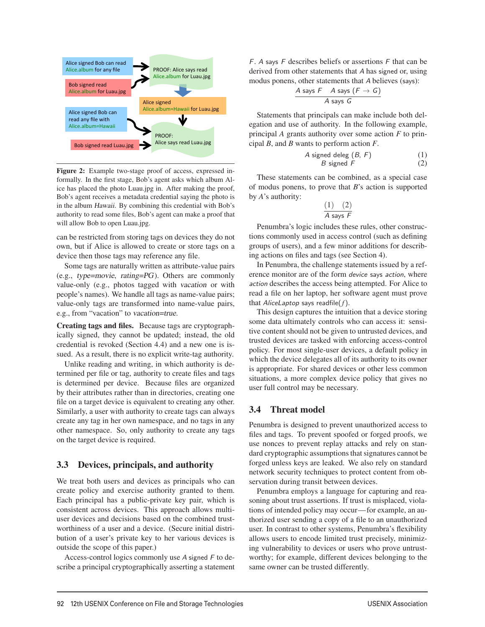

Figure 2: Example two-stage proof of access, expressed informally. In the first stage, Bob's agent asks which album Alice has placed the photo Luau.jpg in. After making the proof, Bob's agent receives a metadata credential saying the photo is in the album *Hawaii.* By combining this credential with Bob's authority to read some files, Bob's agent can make a proof that will allow Bob to open Luau.jpg.

can be restricted from storing tags on devices they do not own, but if Alice is allowed to create or store tags on a device then those tags may reference any file.

Some tags are naturally written as attribute-value pairs (e.g., *type=movie*, *rating=PG*). Others are commonly value-only (e.g., photos tagged with *vacation* or with people's names). We handle all tags as name-value pairs; value-only tags are transformed into name-value pairs, e.g., from "vacation" to *vacation=true*.

Creating tags and files. Because tags are cryptographically signed, they cannot be updated; instead, the old credential is revoked (Section 4.4) and a new one is issued. As a result, there is no explicit write-tag authority.

Unlike reading and writing, in which authority is determined per file or tag, authority to create files and tags is determined per device. Because files are organized by their attributes rather than in directories, creating one file on a target device is equivalent to creating any other. Similarly, a user with authority to create tags can always create any tag in her own namespace, and no tags in any other namespace. So, only authority to create any tags on the target device is required.

#### 3.3 Devices, principals, and authority

We treat both users and devices as principals who can create policy and exercise authority granted to them. Each principal has a public-private key pair, which is consistent across devices. This approach allows multiuser devices and decisions based on the combined trustworthiness of a user and a device. (Secure initial distribution of a user's private key to her various devices is outside the scope of this paper.)

Access-control logics commonly use A signed F to describe a principal cryptographically asserting a statement  $F$ . A says  $F$  describes beliefs or assertions  $F$  that can be derived from other statements that A has signed or, using modus ponens, other statements that A believes (says):

$$
\frac{A \text{ says } F \quad A \text{ says } (F \rightarrow G)}{A \text{ says } G}
$$

Statements that principals can make include both delegation and use of authority. In the following example, principal *A* grants authority over some action *F* to principal *B*, and *B* wants to perform action *F*.

A signed deleg (B, F) (1) B signed F (2)

These statements can be combined, as a special case of modus ponens, to prove that *B*'s action is supported by *A*'s authority:

$$
\frac{(1) \quad (2)}{A \text{ says } F}
$$

Penumbra's logic includes these rules, other constructions commonly used in access control (such as defining groups of users), and a few minor additions for describing actions on files and tags (see Section 4).

In Penumbra, the challenge statements issued by a reference monitor are of the form device says action, where action describes the access being attempted. For Alice to read a file on her laptop, her software agent must prove that AliceLaptop says readfile(*f*).

This design captures the intuition that a device storing some data ultimately controls who can access it: sensitive content should not be given to untrusted devices, and trusted devices are tasked with enforcing access-control policy. For most single-user devices, a default policy in which the device delegates all of its authority to its owner is appropriate. For shared devices or other less common situations, a more complex device policy that gives no user full control may be necessary.

#### 3.4 Threat model

4

Penumbra is designed to prevent unauthorized access to files and tags. To prevent spoofed or forged proofs, we use nonces to prevent replay attacks and rely on standard cryptographic assumptions that signatures cannot be forged unless keys are leaked. We also rely on standard network security techniques to protect content from observation during transit between devices.

Penumbra employs a language for capturing and reasoning about trust assertions. If trust is misplaced, violations of intended policy may occur—for example, an authorized user sending a copy of a file to an unauthorized user. In contrast to other systems, Penumbra's flexibility allows users to encode limited trust precisely, minimizing vulnerability to devices or users who prove untrustworthy; for example, different devices belonging to the same owner can be trusted differently.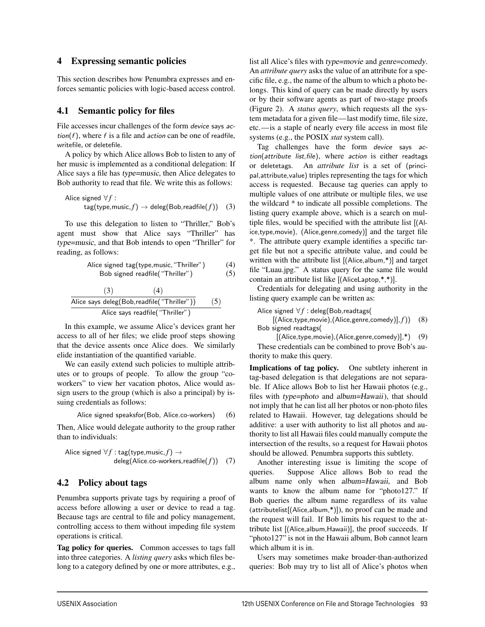## 4 Expressing semantic policies

This section describes how Penumbra expresses and enforces semantic policies with logic-based access control.

#### 4.1 Semantic policy for files

File accesses incur challenges of the form device says action( $f$ ), where  $f$  is a file and action can be one of readfile, writefile, or deletefile.

A policy by which Alice allows Bob to listen to any of her music is implemented as a conditional delegation: If Alice says a file has *type=music*, then Alice delegates to Bob authority to read that file. We write this as follows:

$$
\begin{array}{l} \text{Alice signed } \forall f: \\ \text{tag}(type, music, f) \rightarrow \text{deleg}(\text{Bob}, \text{readfile}(f)) \quad (3) \end{array}
$$

To use this delegation to listen to "Thriller," Bob's agent must show that Alice says "Thriller" has *type=music*, and that Bob intends to open "Thriller" for reading, as follows:

Alice signed tag(type,music,"Thriller") (4) Bob signed readfile("Thriller") (5)

$$
\frac{(3) \qquad (4)}{\text{Alice says deleg(Bob,readfile("Thriller"))} \qquad (5)}{\text{Alice says readfile("Thriller")}}
$$

In this example, we assume Alice's devices grant her access to all of her files; we elide proof steps showing that the device assents once Alice does. We similarly elide instantiation of the quantified variable.

We can easily extend such policies to multiple attributes or to groups of people. To allow the group "coworkers" to view her vacation photos, Alice would assign users to the group (which is also a principal) by issuing credentials as follows:

Alice signed speaker  
(Bob, Alice.co-workers) 
$$
(6)
$$

Then, Alice would delegate authority to the group rather than to individuals:

$$
\begin{array}{ll}\text{Alice signed } \forall f:\texttt{tag}(\texttt{type, music}, f) \rightarrow \\ & \text{deleg}(\textsf{Alice.co-workers}, \textsf{readfile}(f)) \quad (7)\end{array}
$$

## 4.2 Policy about tags

Penumbra supports private tags by requiring a proof of access before allowing a user or device to read a tag. Because tags are central to file and policy management, controlling access to them without impeding file system operations is critical.

Tag policy for queries. Common accesses to tags fall into three categories. A *listing query* asks which files belong to a category defined by one or more attributes, e.g., list all Alice's files with *type=movie* and *genre=comedy*. An *attribute query* asks the value of an attribute for a specific file, e.g., the name of the album to which a photo belongs. This kind of query can be made directly by users or by their software agents as part of two-stage proofs (Figure 2). A *status query*, which requests all the system metadata for a given file—last modify time, file size, etc.—is a staple of nearly every file access in most file systems (e.g., the POSIX *stat* system call).

Tag challenges have the form device says action(attribute list, file), where action is either readtags or deletetags. An *attribute list* is a set of (principal,attribute,value) triples representing the tags for which access is requested. Because tag queries can apply to multiple values of one attribute or multiple files, we use the wildcard \* to indicate all possible completions. The listing query example above, which is a search on multiple files, would be specified with the attribute list [(Alice,type,movie), (Alice,genre,comedy)] and the target file \*. The attribute query example identifies a specific target file but not a specific attribute value, and could be written with the attribute list [(Alice,album,\*)] and target file "Luau.jpg." A status query for the same file would contain an attribute list like [(AliceLaptop,\*,\*)].

Credentials for delegating and using authority in the listing query example can be written as:

Alice signed  $\forall f$  : deleg(Bob, readtags(

[(Alice,type,movie),(Alice,genre,comedy)], *f*)) (8) Bob signed readtags(

[(Alice,type,movie),(Alice,genre,comedy)],\*) (9)

These credentials can be combined to prove Bob's authority to make this query.

Implications of tag policy. One subtlety inherent in tag-based delegation is that delegations are not separable. If Alice allows Bob to list her Hawaii photos (e.g., files with *type=photo* and *album=Hawaii*), that should not imply that he can list all her photos or non-photo files related to Hawaii. However, tag delegations should be additive: a user with authority to list all photos and authority to list all Hawaii files could manually compute the intersection of the results, so a request for Hawaii photos should be allowed. Penumbra supports this subtlety.

Another interesting issue is limiting the scope of queries. Suppose Alice allows Bob to read the album name only when *album=Hawaii*, and Bob wants to know the album name for "photo127." If Bob queries the album name regardless of its value (attributelist[(Alice,album,\*)]), no proof can be made and the request will fail. If Bob limits his request to the attribute list [(Alice,album,Hawaii)], the proof succeeds. If "photo127" is not in the Hawaii album, Bob cannot learn which album it is in.

Users may sometimes make broader-than-authorized queries: Bob may try to list all of Alice's photos when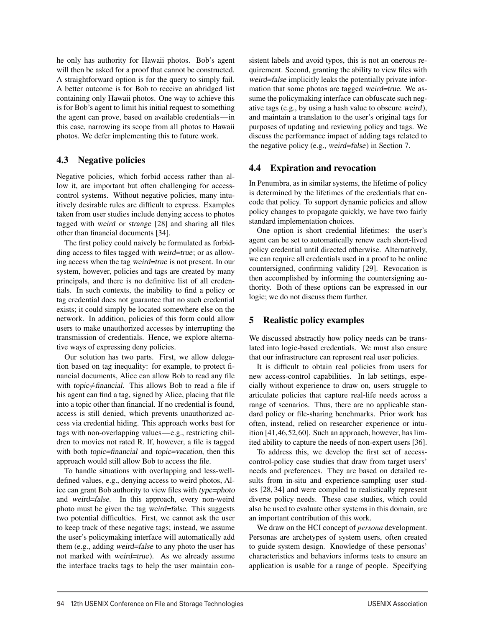he only has authority for Hawaii photos. Bob's agent will then be asked for a proof that cannot be constructed. A straightforward option is for the query to simply fail. A better outcome is for Bob to receive an abridged list containing only Hawaii photos. One way to achieve this is for Bob's agent to limit his initial request to something the agent can prove, based on available credentials—in this case, narrowing its scope from all photos to Hawaii photos. We defer implementing this to future work.

## 4.3 Negative policies

Negative policies, which forbid access rather than allow it, are important but often challenging for accesscontrol systems. Without negative policies, many intuitively desirable rules are difficult to express. Examples taken from user studies include denying access to photos tagged with *weird* or *strange* [28] and sharing all files other than financial documents [34].

The first policy could naively be formulated as forbidding access to files tagged with *weird=true*; or as allowing access when the tag *weird=true* is not present. In our system, however, policies and tags are created by many principals, and there is no definitive list of all credentials. In such contexts, the inability to find a policy or tag credential does not guarantee that no such credential exists; it could simply be located somewhere else on the network. In addition, policies of this form could allow users to make unauthorized accesses by interrupting the transmission of credentials. Hence, we explore alternative ways of expressing deny policies.

Our solution has two parts. First, we allow delegation based on tag inequality: for example, to protect financial documents, Alice can allow Bob to read any file with *topic*  $\neq$  *financial*. This allows Bob to read a file if his agent can find a tag, signed by Alice, placing that file into a topic other than financial. If no credential is found, access is still denied, which prevents unauthorized access via credential hiding. This approach works best for tags with non-overlapping values—e.g., restricting children to movies not rated R. If, however, a file is tagged with both *topic=financial* and *topic=vacation*, then this approach would still allow Bob to access the file.

To handle situations with overlapping and less-welldefined values, e.g., denying access to weird photos, Alice can grant Bob authority to view files with *type=photo* and *weird=false*. In this approach, every non-weird photo must be given the tag *weird=false*. This suggests two potential difficulties. First, we cannot ask the user to keep track of these negative tags; instead, we assume the user's policymaking interface will automatically add them (e.g., adding *weird=false* to any photo the user has not marked with *weird=true*). As we already assume the interface tracks tags to help the user maintain consistent labels and avoid typos, this is not an onerous requirement. Second, granting the ability to view files with *weird=false* implicitly leaks the potentially private information that some photos are tagged *weird=true*. We assume the policymaking interface can obfuscate such negative tags (e.g., by using a hash value to obscure *weird*), and maintain a translation to the user's original tags for purposes of updating and reviewing policy and tags. We discuss the performance impact of adding tags related to the negative policy (e.g., *weird=false*) in Section 7.

## 4.4 Expiration and revocation

In Penumbra, as in similar systems, the lifetime of policy is determined by the lifetimes of the credentials that encode that policy. To support dynamic policies and allow policy changes to propagate quickly, we have two fairly standard implementation choices.

One option is short credential lifetimes: the user's agent can be set to automatically renew each short-lived policy credential until directed otherwise. Alternatively, we can require all credentials used in a proof to be online countersigned, confirming validity [29]. Revocation is then accomplished by informing the countersigning authority. Both of these options can be expressed in our logic; we do not discuss them further.

# 5 Realistic policy examples

We discussed abstractly how policy needs can be translated into logic-based credentials. We must also ensure that our infrastructure can represent real user policies.

It is difficult to obtain real policies from users for new access-control capabilities. In lab settings, especially without experience to draw on, users struggle to articulate policies that capture real-life needs across a range of scenarios. Thus, there are no applicable standard policy or file-sharing benchmarks. Prior work has often, instead, relied on researcher experience or intuition [41,46,52,60]. Such an approach, however, has limited ability to capture the needs of non-expert users [36].

To address this, we develop the first set of accesscontrol-policy case studies that draw from target users' needs and preferences. They are based on detailed results from in-situ and experience-sampling user studies [28, 34] and were compiled to realistically represent diverse policy needs. These case studies, which could also be used to evaluate other systems in this domain, are an important contribution of this work.

We draw on the HCI concept of *persona* development. Personas are archetypes of system users, often created to guide system design. Knowledge of these personas' characteristics and behaviors informs tests to ensure an application is usable for a range of people. Specifying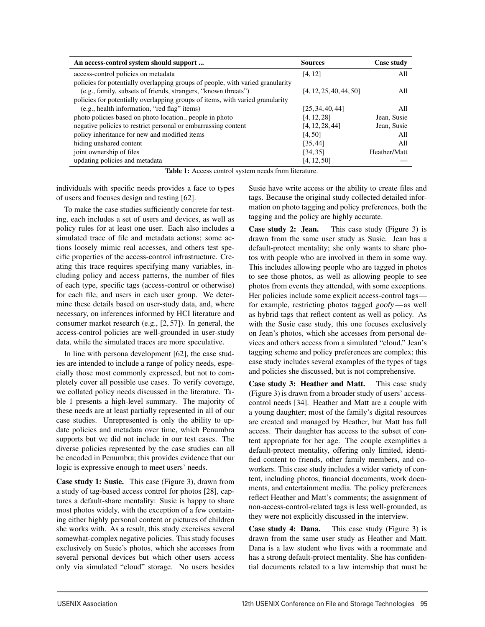| An access-control system should support                                        | <b>Sources</b>          | Case study   |
|--------------------------------------------------------------------------------|-------------------------|--------------|
| access-control policies on metadata                                            | [4, 12]                 | All          |
| policies for potentially overlapping groups of people, with varied granularity |                         |              |
| (e.g., family, subsets of friends, strangers, "known threats")                 | [4, 12, 25, 40, 44, 50] | All          |
| policies for potentially overlapping groups of items, with varied granularity  |                         |              |
| (e.g., health information, "red flag" items)                                   | [25, 34, 40, 44]        | All          |
| photo policies based on photo location., people in photo                       | [4, 12, 28]             | Jean, Susie  |
| negative policies to restrict personal or embarrassing content                 | [4, 12, 28, 44]         | Jean, Susie  |
| policy inheritance for new and modified items                                  | [4, 50]                 | All          |
| hiding unshared content                                                        | [35, 44]                | All          |
| joint ownership of files                                                       | [34, 35]                | Heather/Matt |
| updating policies and metadata                                                 | [4, 12, 50]             |              |

Table 1: Access control system needs from literature.

-

individuals with specific needs provides a face to types of users and focuses design and testing [62].

To make the case studies sufficiently concrete for testing, each includes a set of users and devices, as well as policy rules for at least one user. Each also includes a simulated trace of file and metadata actions; some actions loosely mimic real accesses, and others test specific properties of the access-control infrastructure. Creating this trace requires specifying many variables, including policy and access patterns, the number of files of each type, specific tags (access-control or otherwise) for each file, and users in each user group. We determine these details based on user-study data, and, where necessary, on inferences informed by HCI literature and consumer market research (e.g., [2, 57]). In general, the access-control policies are well-grounded in user-study data, while the simulated traces are more speculative.

In line with persona development [62], the case studies are intended to include a range of policy needs, especially those most commonly expressed, but not to completely cover all possible use cases. To verify coverage, we collated policy needs discussed in the literature. Table 1 presents a high-level summary. The majority of these needs are at least partially represented in all of our case studies. Unrepresented is only the ability to update policies and metadata over time, which Penumbra supports but we did not include in our test cases. The diverse policies represented by the case studies can all be encoded in Penumbra; this provides evidence that our logic is expressive enough to meet users' needs.

Case study 1: Susie. This case (Figure 3), drawn from a study of tag-based access control for photos [28], captures a default-share mentality: Susie is happy to share most photos widely, with the exception of a few containing either highly personal content or pictures of children she works with. As a result, this study exercises several somewhat-complex negative policies. This study focuses exclusively on Susie's photos, which she accesses from several personal devices but which other users access only via simulated "cloud" storage. No users besides

Susie have write access or the ability to create files and tags. Because the original study collected detailed information on photo tagging and policy preferences, both the tagging and the policy are highly accurate.

Case study 2: Jean. This case study (Figure 3) is drawn from the same user study as Susie. Jean has a default-protect mentality; she only wants to share photos with people who are involved in them in some way. This includes allowing people who are tagged in photos to see those photos, as well as allowing people to see photos from events they attended, with some exceptions. Her policies include some explicit access-control tags for example, restricting photos tagged *goofy*—as well as hybrid tags that reflect content as well as policy. As with the Susie case study, this one focuses exclusively on Jean's photos, which she accesses from personal devices and others access from a simulated "cloud." Jean's tagging scheme and policy preferences are complex; this case study includes several examples of the types of tags and policies she discussed, but is not comprehensive.

Case study 3: Heather and Matt. This case study (Figure 3) is drawn from a broader study of users' accesscontrol needs [34]. Heather and Matt are a couple with a young daughter; most of the family's digital resources are created and managed by Heather, but Matt has full access. Their daughter has access to the subset of content appropriate for her age. The couple exemplifies a default-protect mentality, offering only limited, identified content to friends, other family members, and coworkers. This case study includes a wider variety of content, including photos, financial documents, work documents, and entertainment media. The policy preferences reflect Heather and Matt's comments; the assignment of non-access-control-related tags is less well-grounded, as they were not explicitly discussed in the interview.

Case study 4: Dana. This case study (Figure 3) is drawn from the same user study as Heather and Matt. Dana is a law student who lives with a roommate and has a strong default-protect mentality. She has confidential documents related to a law internship that must be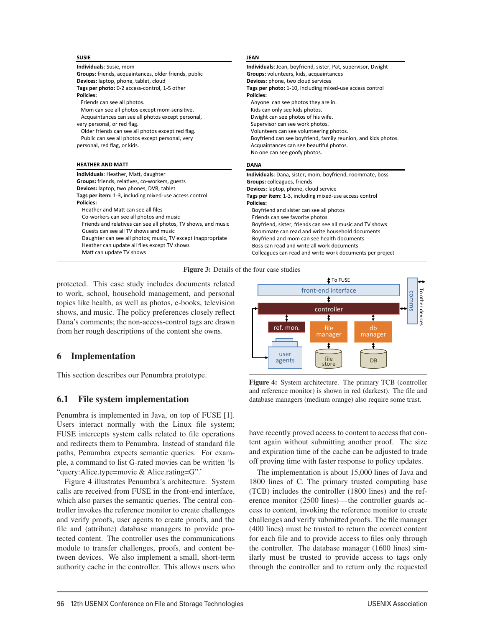| <b>SUSIE</b>                                                  | <b>JEAN</b>                                                   |
|---------------------------------------------------------------|---------------------------------------------------------------|
| <b>Individuals: Susie, mom</b>                                | Individuals: Jean, boyfriend, sister, Pat, supervisor, Dwight |
| Groups: friends, acquaintances, older friends, public         | Groups: volunteers, kids, acquaintances                       |
| Devices: laptop, phone, tablet, cloud                         | Devices: phone, two cloud services                            |
| Tags per photo: 0-2 access-control, 1-5 other                 | Tags per photo: 1-10, including mixed-use access control      |
| <b>Policies:</b>                                              | Policies:                                                     |
| Friends can see all photos.                                   | Anyone can see photos they are in.                            |
| Mom can see all photos except mom-sensitive.                  | Kids can only see kids photos.                                |
| Acquaintances can see all photos except personal,             | Dwight can see photos of his wife.                            |
| very personal, or red flag.                                   | Supervisor can see work photos.                               |
| Older friends can see all photos except red flag.             | Volunteers can see volunteering photos.                       |
| Public can see all photos except personal, very               | Boyfriend can see boyfriend, family reunion, and kids photos. |
| personal, red flag, or kids.                                  | Acquaintances can see beautiful photos.                       |
|                                                               |                                                               |
|                                                               | No one can see goofy photos.                                  |
| <b>HEATHER AND MATT</b>                                       | <b>DANA</b>                                                   |
| Individuals: Heather, Matt, daughter                          | Individuals: Dana, sister, mom, boyfriend, roommate, boss     |
| Groups: friends, relatives, co-workers, guests                | Groups: colleagues, friends                                   |
| Devices: laptop, two phones, DVR, tablet                      | Devices: laptop, phone, cloud service                         |
| Tags per item: 1-3, including mixed-use access control        | Tags per item: 1-3, including mixed-use access control        |
| Policies:                                                     | <b>Policies:</b>                                              |
| Heather and Matt can see all files                            | Boyfriend and sister can see all photos                       |
| Co-workers can see all photos and music                       | Friends can see favorite photos                               |
| Friends and relatives can see all photos, TV shows, and music | Boyfriend, sister, friends can see all music and TV shows     |
| Guests can see all TV shows and music                         | Roommate can read and write household documents               |
| Daughter can see all photos; music, TV except inappropriate   | Boyfriend and mom can see health documents                    |
| Heather can update all files except TV shows                  | Boss can read and write all work documents                    |



4

protected. This case study includes documents related to work, school, household management, and personal topics like health, as well as photos, e-books, television shows, and music. The policy preferences closely reflect Dana's comments; the non-access-control tags are drawn from her rough descriptions of the content she owns.

## 6 Implementation

This section describes our Penumbra prototype.

# 6.1 File system implementation

Penumbra is implemented in Java, on top of FUSE [1]. Users interact normally with the Linux file system; FUSE intercepts system calls related to file operations and redirects them to Penumbra. Instead of standard file paths, Penumbra expects semantic queries. For example, a command to list G-rated movies can be written 'ls "query:Alice.type=movie & Alice.rating=G".'

Figure 4 illustrates Penumbra's architecture. System calls are received from FUSE in the front-end interface, which also parses the semantic queries. The central controller invokes the reference monitor to create challenges and verify proofs, user agents to create proofs, and the file and (attribute) database managers to provide protected content. The controller uses the communications module to transfer challenges, proofs, and content between devices. We also implement a small, short-term authority cache in the controller. This allows users who



Figure 4: System architecture. The primary TCB (controller and reference monitor) is shown in red (darkest). The file and database managers (medium orange) also require some trust.

have recently proved access to content to access that content again without submitting another proof. The size and expiration time of the cache can be adjusted to trade off proving time with faster response to policy updates.

The implementation is about 15,000 lines of Java and 1800 lines of C. The primary trusted computing base (TCB) includes the controller (1800 lines) and the reference monitor (2500 lines)—the controller guards access to content, invoking the reference monitor to create challenges and verify submitted proofs. The file manager (400 lines) must be trusted to return the correct content for each file and to provide access to files only through the controller. The database manager (1600 lines) similarly must be trusted to provide access to tags only through the controller and to return only the requested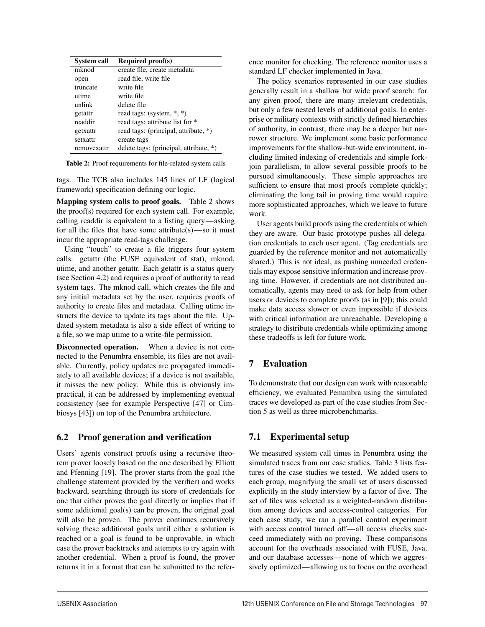| <b>System call</b> | <b>Required proof(s)</b>               |
|--------------------|----------------------------------------|
| mknod              | create file, create metadata           |
| open               | read file, write file                  |
| truncate           | write file                             |
| utime              | write file                             |
| unlink             | delete file                            |
| getattr            | read tags: (system, *, *)              |
| readdir            | read tags: attribute list for *        |
| getxattr           | read tags: (principal, attribute, *)   |
| setxattr           | create tags                            |
| removexattr        | delete tags: (principal, attribute, *) |

Table 2: Proof requirements for file-related system calls

tags. The TCB also includes 145 lines of LF (logical framework) specification defining our logic.

Mapping system calls to proof goals. Table 2 shows the proof(s) required for each system call. For example, calling readdir is equivalent to a listing query—asking for all the files that have some attribute $(s)$ —so it must incur the appropriate read-tags challenge.

Using "touch" to create a file triggers four system calls: getattr (the FUSE equivalent of stat), mknod, utime, and another getattr. Each getattr is a status query (see Section 4.2) and requires a proof of authority to read system tags. The mknod call, which creates the file and any initial metadata set by the user, requires proofs of authority to create files and metadata. Calling utime instructs the device to update its tags about the file. Updated system metadata is also a side effect of writing to a file, so we map utime to a write-file permission.

Disconnected operation. When a device is not connected to the Penumbra ensemble, its files are not available. Currently, policy updates are propagated immediately to all available devices; if a device is not available, it misses the new policy. While this is obviously impractical, it can be addressed by implementing eventual consistency (see for example Perspective [47] or Cimbiosys [43]) on top of the Penumbra architecture.

# 6.2 Proof generation and verification

Users' agents construct proofs using a recursive theorem prover loosely based on the one described by Elliott and Pfenning [19]. The prover starts from the goal (the challenge statement provided by the verifier) and works backward, searching through its store of credentials for one that either proves the goal directly or implies that if some additional goal(s) can be proven, the original goal will also be proven. The prover continues recursively solving these additional goals until either a solution is reached or a goal is found to be unprovable, in which case the prover backtracks and attempts to try again with another credential. When a proof is found, the prover returns it in a format that can be submitted to the reference monitor for checking. The reference monitor uses a standard LF checker implemented in Java.

The policy scenarios represented in our case studies generally result in a shallow but wide proof search: for any given proof, there are many irrelevant credentials, but only a few nested levels of additional goals. In enterprise or military contexts with strictly defined hierarchies of authority, in contrast, there may be a deeper but narrower structure. We implement some basic performance improvements for the shallow-but-wide environment, including limited indexing of credentials and simple forkjoin parallelism, to allow several possible proofs to be pursued simultaneously. These simple approaches are sufficient to ensure that most proofs complete quickly; eliminating the long tail in proving time would require more sophisticated approaches, which we leave to future work.

User agents build proofs using the credentials of which they are aware. Our basic prototype pushes all delegation credentials to each user agent. (Tag credentials are guarded by the reference monitor and not automatically shared.) This is not ideal, as pushing unneeded credentials may expose sensitive information and increase proving time. However, if credentials are not distributed automatically, agents may need to ask for help from other users or devices to complete proofs (as in [9]); this could make data access slower or even impossible if devices with critical information are unreachable. Developing a strategy to distribute credentials while optimizing among these tradeoffs is left for future work.

# 7 Evaluation

9

To demonstrate that our design can work with reasonable efficiency, we evaluated Penumbra using the simulated traces we developed as part of the case studies from Section 5 as well as three microbenchmarks.

# 7.1 Experimental setup

We measured system call times in Penumbra using the simulated traces from our case studies. Table 3 lists features of the case studies we tested. We added users to each group, magnifying the small set of users discussed explicitly in the study interview by a factor of five. The set of files was selected as a weighted-random distribution among devices and access-control categories. For each case study, we ran a parallel control experiment with access control turned off—all access checks succeed immediately with no proving. These comparisons account for the overheads associated with FUSE, Java, and our database accesses—none of which we aggressively optimized—allowing us to focus on the overhead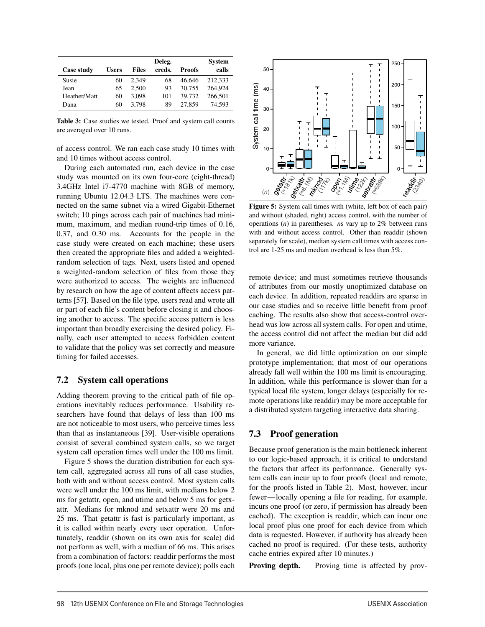|              |              |              | Deleg. |               | <b>System</b> |
|--------------|--------------|--------------|--------|---------------|---------------|
| Case study   | <b>Users</b> | <b>Files</b> | creds. | <b>Proofs</b> | calls         |
| Susie        | 60           | 2.349        | 68     | 46.646        | 212.333       |
| Jean         | 65           | 2.500        | 93     | 30.755        | 264,924       |
| Heather/Matt | 60           | 3.098        | 101    | 39.732        | 266,501       |
| Dana         | 60           | 3.798        | 89     | 27,859        | 74.593        |

Table 3: Case studies we tested. Proof and system call counts are averaged over 10 runs.

of access control. We ran each case study 10 times with and 10 times without access control.

During each automated run, each device in the case study was mounted on its own four-core (eight-thread) 3.4GHz Intel i7-4770 machine with 8GB of memory, running Ubuntu 12.04.3 LTS. The machines were connected on the same subnet via a wired Gigabit-Ethernet switch; 10 pings across each pair of machines had minimum, maximum, and median round-trip times of 0.16, 0.37, and 0.30 ms. Accounts for the people in the case study were created on each machine; these users then created the appropriate files and added a weightedrandom selection of tags. Next, users listed and opened a weighted-random selection of files from those they were authorized to access. The weights are influenced by research on how the age of content affects access patterns [57]. Based on the file type, users read and wrote all or part of each file's content before closing it and choosing another to access. The specific access pattern is less important than broadly exercising the desired policy. Finally, each user attempted to access forbidden content to validate that the policy was set correctly and measure timing for failed accesses.

## 7.2 System call operations

Adding theorem proving to the critical path of file operations inevitably reduces performance. Usability researchers have found that delays of less than 100 ms are not noticeable to most users, who perceive times less than that as instantaneous [39]. User-visible operations consist of several combined system calls, so we target system call operation times well under the 100 ms limit.

Figure 5 shows the duration distribution for each system call, aggregated across all runs of all case studies, both with and without access control. Most system calls were well under the 100 ms limit, with medians below 2 ms for getattr, open, and utime and below 5 ms for getxattr. Medians for mknod and setxattr were 20 ms and 25 ms. That getattr is fast is particularly important, as it is called within nearly every user operation. Unfortunately, readdir (shown on its own axis for scale) did not perform as well, with a median of 66 ms. This arises from a combination of factors: readdir performs the most proofs (one local, plus one per remote device); polls each



Figure 5: System call times with (white, left box of each pair) and without (shaded, right) access control, with the number of operations (*n*) in parentheses. *n*s vary up to 2% between runs with and without access control. Other than readdir (shown separately for scale), median system call times with access control are 1-25 ms and median overhead is less than 5%.

remote device; and must sometimes retrieve thousands of attributes from our mostly unoptimized database on each device. In addition, repeated readdirs are sparse in our case studies and so receive little benefit from proof caching. The results also show that access-control overhead was low across all system calls. For open and utime, the access control did not affect the median but did add more variance.

In general, we did little optimization on our simple prototype implementation; that most of our operations already fall well within the 100 ms limit is encouraging. In addition, while this performance is slower than for a typical local file system, longer delays (especially for remote operations like readdir) may be more acceptable for a distributed system targeting interactive data sharing.

## 7.3 Proof generation

10

Because proof generation is the main bottleneck inherent to our logic-based approach, it is critical to understand the factors that affect its performance. Generally system calls can incur up to four proofs (local and remote, for the proofs listed in Table 2). Most, however, incur fewer—locally opening a file for reading, for example, incurs one proof (or zero, if permission has already been cached). The exception is readdir, which can incur one local proof plus one proof for each device from which data is requested. However, if authority has already been cached no proof is required. (For these tests, authority cache entries expired after 10 minutes.)

Proving depth. Proving time is affected by prov-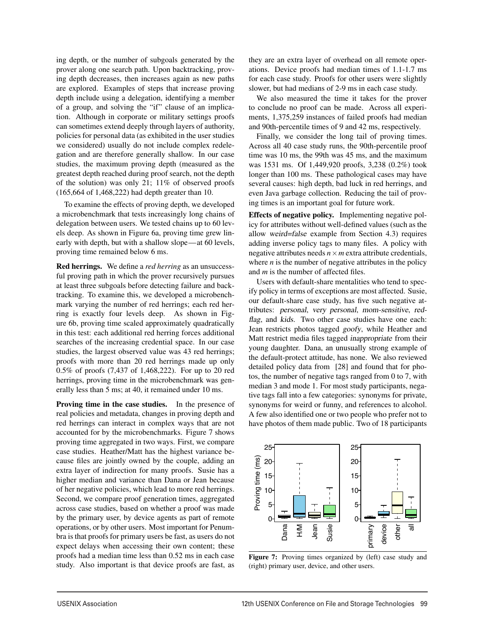ing depth, or the number of subgoals generated by the prover along one search path. Upon backtracking, proving depth decreases, then increases again as new paths are explored. Examples of steps that increase proving depth include using a delegation, identifying a member of a group, and solving the "if" clause of an implication. Although in corporate or military settings proofs can sometimes extend deeply through layers of authority, policies for personal data (as exhibited in the user studies we considered) usually do not include complex redelegation and are therefore generally shallow. In our case studies, the maximum proving depth (measured as the greatest depth reached during proof search, not the depth of the solution) was only 21; 11% of observed proofs (165,664 of 1,468,222) had depth greater than 10.

To examine the effects of proving depth, we developed a microbenchmark that tests increasingly long chains of delegation between users. We tested chains up to 60 levels deep. As shown in Figure 6a, proving time grew linearly with depth, but with a shallow slope—at 60 levels, proving time remained below 6 ms.

Red herrings. We define a *red herring* as an unsuccessful proving path in which the prover recursively pursues at least three subgoals before detecting failure and backtracking. To examine this, we developed a microbenchmark varying the number of red herrings; each red herring is exactly four levels deep. As shown in Figure 6b, proving time scaled approximately quadratically in this test: each additional red herring forces additional searches of the increasing credential space. In our case studies, the largest observed value was 43 red herrings; proofs with more than 20 red herrings made up only 0.5% of proofs (7,437 of 1,468,222). For up to 20 red herrings, proving time in the microbenchmark was generally less than 5 ms; at 40, it remained under 10 ms.

Proving time in the case studies. In the presence of real policies and metadata, changes in proving depth and red herrings can interact in complex ways that are not accounted for by the microbenchmarks. Figure 7 shows proving time aggregated in two ways. First, we compare case studies. Heather/Matt has the highest variance because files are jointly owned by the couple, adding an extra layer of indirection for many proofs. Susie has a higher median and variance than Dana or Jean because of her negative policies, which lead to more red herrings. Second, we compare proof generation times, aggregated across case studies, based on whether a proof was made by the primary user, by device agents as part of remote operations, or by other users. Most important for Penumbra is that proofs for primary users be fast, as users do not expect delays when accessing their own content; these proofs had a median time less than 0.52 ms in each case study. Also important is that device proofs are fast, as they are an extra layer of overhead on all remote operations. Device proofs had median times of 1.1-1.7 ms for each case study. Proofs for other users were slightly slower, but had medians of 2-9 ms in each case study.

We also measured the time it takes for the prover to conclude no proof can be made. Across all experiments, 1,375,259 instances of failed proofs had median and 90th-percentile times of 9 and 42 ms, respectively.

Finally, we consider the long tail of proving times. Across all 40 case study runs, the 90th-percentile proof time was 10 ms, the 99th was 45 ms, and the maximum was 1531 ms. Of 1,449,920 proofs, 3,238 (0.2%) took longer than 100 ms. These pathological cases may have several causes: high depth, bad luck in red herrings, and even Java garbage collection. Reducing the tail of proving times is an important goal for future work.

Effects of negative policy. Implementing negative policy for attributes without well-defined values (such as the allow *weird=false* example from Section 4.3) requires adding inverse policy tags to many files. A policy with negative attributes needs  $n \times m$  extra attribute credentials, where  $n$  is the number of negative attributes in the policy and *m* is the number of affected files.

Users with default-share mentalities who tend to specify policy in terms of exceptions are most affected. Susie, our default-share case study, has five such negative attributes: *personal*, *very personal*, *mom-sensitive*, *redflag*, and *kids*. Two other case studies have one each: Jean restricts photos tagged *goofy*, while Heather and Matt restrict media files tagged *inappropriate* from their young daughter. Dana, an unusually strong example of the default-protect attitude, has none. We also reviewed detailed policy data from [28] and found that for photos, the number of negative tags ranged from 0 to 7, with median 3 and mode 1. For most study participants, negative tags fall into a few categories: synonyms for private, synonyms for weird or funny, and references to alcohol. A few also identified one or two people who prefer not to have photos of them made public. Two of 18 participants



Figure 7: Proving times organized by (left) case study and (right) primary user, device, and other users.

 $\overline{1}$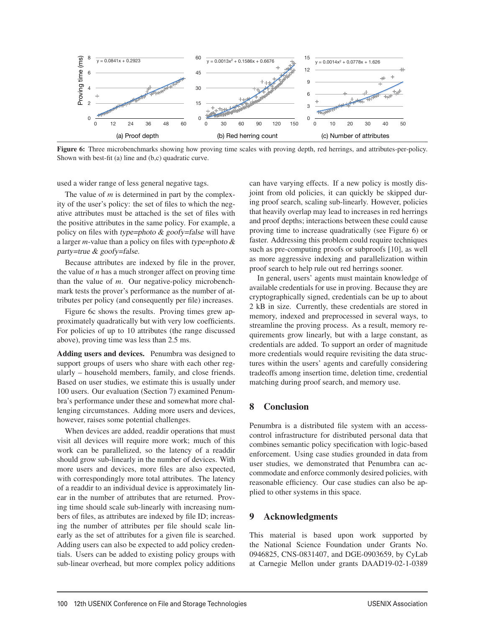

Figure 6: Three microbenchmarks showing how proving time scales with proving depth, red herrings, and attributes-per-policy. Shown with best-fit (a) line and (b,c) quadratic curve.

used a wider range of less general negative tags.

The value of *m* is determined in part by the complexity of the user's policy: the set of files to which the negative attributes must be attached is the set of files with the positive attributes in the same policy. For example, a policy on files with *type=photo & goofy=false* will have a larger *m*-value than a policy on files with *type=photo & party=true & goofy=false*.

Because attributes are indexed by file in the prover, the value of *n* has a much stronger affect on proving time than the value of *m*. Our negative-policy microbenchmark tests the prover's performance as the number of attributes per policy (and consequently per file) increases.

Figure 6c shows the results. Proving times grew approximately quadratically but with very low coefficients. For policies of up to 10 attributes (the range discussed above), proving time was less than 2.5 ms.

Adding users and devices. Penumbra was designed to support groups of users who share with each other regularly – household members, family, and close friends. Based on user studies, we estimate this is usually under 100 users. Our evaluation (Section 7) examined Penumbra's performance under these and somewhat more challenging circumstances. Adding more users and devices, however, raises some potential challenges.

When devices are added, readdir operations that must visit all devices will require more work; much of this work can be parallelized, so the latency of a readdir should grow sub-linearly in the number of devices. With more users and devices, more files are also expected, with correspondingly more total attributes. The latency of a readdir to an individual device is approximately linear in the number of attributes that are returned. Proving time should scale sub-linearly with increasing numbers of files, as attributes are indexed by file ID; increasing the number of attributes per file should scale linearly as the set of attributes for a given file is searched. Adding users can also be expected to add policy credentials. Users can be added to existing policy groups with sub-linear overhead, but more complex policy additions can have varying effects. If a new policy is mostly disjoint from old policies, it can quickly be skipped during proof search, scaling sub-linearly. However, policies that heavily overlap may lead to increases in red herrings and proof depths; interactions between these could cause proving time to increase quadratically (see Figure 6) or faster. Addressing this problem could require techniques such as pre-computing proofs or subproofs [10], as well as more aggressive indexing and parallelization within proof search to help rule out red herrings sooner.

In general, users' agents must maintain knowledge of available credentials for use in proving. Because they are cryptographically signed, credentials can be up to about 2 kB in size. Currently, these credentials are stored in memory, indexed and preprocessed in several ways, to streamline the proving process. As a result, memory requirements grow linearly, but with a large constant, as credentials are added. To support an order of magnitude more credentials would require revisiting the data structures within the users' agents and carefully considering tradeoffs among insertion time, deletion time, credential matching during proof search, and memory use.

## 8 Conclusion

Penumbra is a distributed file system with an accesscontrol infrastructure for distributed personal data that combines semantic policy specification with logic-based enforcement. Using case studies grounded in data from user studies, we demonstrated that Penumbra can accommodate and enforce commonly desired policies, with reasonable efficiency. Our case studies can also be applied to other systems in this space.

## 9 Acknowledgments

12

This material is based upon work supported by the National Science Foundation under Grants No. 0946825, CNS-0831407, and DGE-0903659, by CyLab at Carnegie Mellon under grants DAAD19-02-1-0389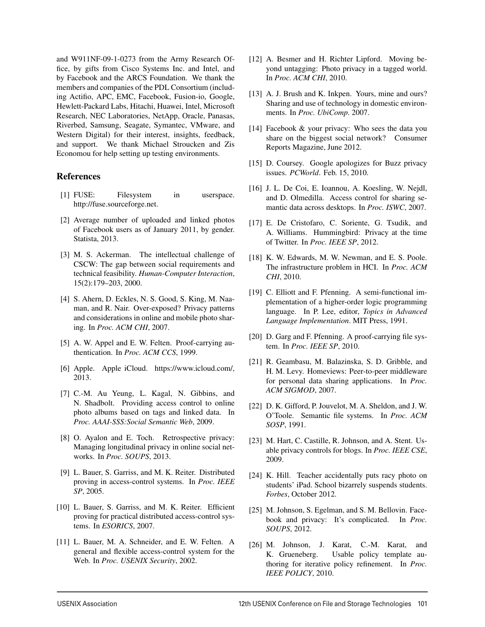and W911NF-09-1-0273 from the Army Research Office, by gifts from Cisco Systems Inc. and Intel, and by Facebook and the ARCS Foundation. We thank the members and companies of the PDL Consortium (including Actifio, APC, EMC, Facebook, Fusion-io, Google, Hewlett-Packard Labs, Hitachi, Huawei, Intel, Microsoft Research, NEC Laboratories, NetApp, Oracle, Panasas, Riverbed, Samsung, Seagate, Symantec, VMware, and Western Digital) for their interest, insights, feedback, and support. We thank Michael Stroucken and Zis Economou for help setting up testing environments.

#### References

- [1] FUSE: Filesystem in userspace. http://fuse.sourceforge.net.
- [2] Average number of uploaded and linked photos of Facebook users as of January 2011, by gender. Statista, 2013.
- [3] M. S. Ackerman. The intellectual challenge of CSCW: The gap between social requirements and technical feasibility. *Human-Computer Interaction*, 15(2):179–203, 2000.
- [4] S. Ahern, D. Eckles, N. S. Good, S. King, M. Naaman, and R. Nair. Over-exposed? Privacy patterns and considerations in online and mobile photo sharing. In *Proc. ACM CHI*, 2007.
- [5] A. W. Appel and E. W. Felten. Proof-carrying authentication. In *Proc. ACM CCS*, 1999.
- [6] Apple. Apple iCloud. https://www.icloud.com/, 2013.
- [7] C.-M. Au Yeung, L. Kagal, N. Gibbins, and N. Shadbolt. Providing access control to online photo albums based on tags and linked data. In *Proc. AAAI-SSS:Social Semantic Web*, 2009.
- [8] O. Ayalon and E. Toch. Retrospective privacy: Managing longitudinal privacy in online social networks. In *Proc. SOUPS*, 2013.
- [9] L. Bauer, S. Garriss, and M. K. Reiter. Distributed proving in access-control systems. In *Proc. IEEE SP*, 2005.
- [10] L. Bauer, S. Garriss, and M. K. Reiter. Efficient proving for practical distributed access-control systems. In *ESORICS*, 2007.
- [11] L. Bauer, M. A. Schneider, and E. W. Felten. A general and flexible access-control system for the Web. In *Proc. USENIX Security*, 2002.
- [12] A. Besmer and H. Richter Lipford. Moving beyond untagging: Photo privacy in a tagged world. In *Proc. ACM CHI*, 2010.
- [13] A. J. Brush and K. Inkpen. Yours, mine and ours? Sharing and use of technology in domestic environments. In *Proc. UbiComp*. 2007.
- [14] Facebook & your privacy: Who sees the data you share on the biggest social network? Consumer Reports Magazine, June 2012.
- [15] D. Coursey. Google apologizes for Buzz privacy issues. *PCWorld*. Feb. 15, 2010.
- [16] J. L. De Coi, E. Ioannou, A. Koesling, W. Nejdl, and D. Olmedilla. Access control for sharing semantic data across desktops. In *Proc. ISWC*, 2007.
- [17] E. De Cristofaro, C. Soriente, G. Tsudik, and A. Williams. Hummingbird: Privacy at the time of Twitter. In *Proc. IEEE SP*, 2012.
- [18] K. W. Edwards, M. W. Newman, and E. S. Poole. The infrastructure problem in HCI. In *Proc. ACM CHI*, 2010.
- [19] C. Elliott and F. Pfenning. A semi-functional implementation of a higher-order logic programming language. In P. Lee, editor, *Topics in Advanced Language Implementation*. MIT Press, 1991.
- [20] D. Garg and F. Pfenning. A proof-carrying file system. In *Proc. IEEE SP*, 2010.
- [21] R. Geambasu, M. Balazinska, S. D. Gribble, and H. M. Levy. Homeviews: Peer-to-peer middleware for personal data sharing applications. In *Proc. ACM SIGMOD*, 2007.
- [22] D. K. Gifford, P. Jouvelot, M. A. Sheldon, and J. W. O'Toole. Semantic file systems. In *Proc. ACM SOSP*, 1991.
- [23] M. Hart, C. Castille, R. Johnson, and A. Stent. Usable privacy controls for blogs. In *Proc. IEEE CSE*, 2009.
- [24] K. Hill. Teacher accidentally puts racy photo on students' iPad. School bizarrely suspends students. *Forbes*, October 2012.
- [25] M. Johnson, S. Egelman, and S. M. Bellovin. Facebook and privacy: It's complicated. In *Proc. SOUPS*, 2012.
- [26] M. Johnson, J. Karat, C.-M. Karat, and K. Grueneberg. Usable policy template authoring for iterative policy refinement. In *Proc. IEEE POLICY*, 2010.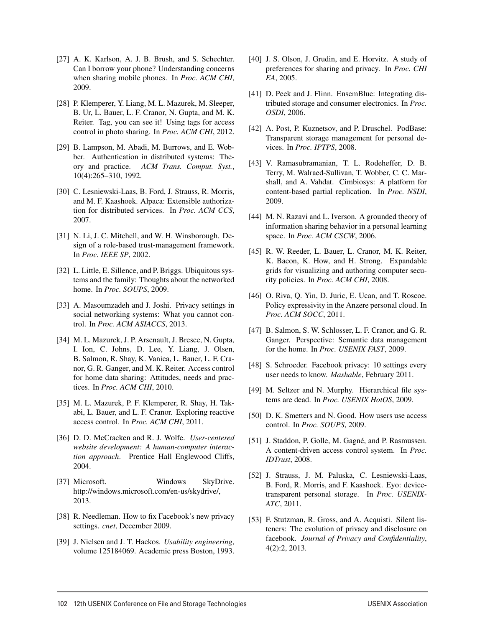- [27] A. K. Karlson, A. J. B. Brush, and S. Schechter. Can I borrow your phone? Understanding concerns when sharing mobile phones. In *Proc. ACM CHI*, 2009.
- [28] P. Klemperer, Y. Liang, M. L. Mazurek, M. Sleeper, B. Ur, L. Bauer, L. F. Cranor, N. Gupta, and M. K. Reiter. Tag, you can see it! Using tags for access control in photo sharing. In *Proc. ACM CHI*, 2012.
- [29] B. Lampson, M. Abadi, M. Burrows, and E. Wobber. Authentication in distributed systems: Theory and practice. *ACM Trans. Comput. Syst.*, 10(4):265–310, 1992.
- [30] C. Lesniewski-Laas, B. Ford, J. Strauss, R. Morris, and M. F. Kaashoek. Alpaca: Extensible authorization for distributed services. In *Proc. ACM CCS*, 2007.
- [31] N. Li, J. C. Mitchell, and W. H. Winsborough. Design of a role-based trust-management framework. In *Proc. IEEE SP*, 2002.
- [32] L. Little, E. Sillence, and P. Briggs. Ubiquitous systems and the family: Thoughts about the networked home. In *Proc. SOUPS*, 2009.
- [33] A. Masoumzadeh and J. Joshi. Privacy settings in social networking systems: What you cannot control. In *Proc. ACM ASIACCS*, 2013.
- [34] M. L. Mazurek, J. P. Arsenault, J. Bresee, N. Gupta, I. Ion, C. Johns, D. Lee, Y. Liang, J. Olsen, B. Salmon, R. Shay, K. Vaniea, L. Bauer, L. F. Cranor, G. R. Ganger, and M. K. Reiter. Access control for home data sharing: Attitudes, needs and practices. In *Proc. ACM CHI*, 2010.
- [35] M. L. Mazurek, P. F. Klemperer, R. Shay, H. Takabi, L. Bauer, and L. F. Cranor. Exploring reactive access control. In *Proc. ACM CHI*, 2011.
- [36] D. D. McCracken and R. J. Wolfe. *User-centered website development: A human-computer interaction approach*. Prentice Hall Englewood Cliffs, 2004.
- [37] Microsoft. Windows SkyDrive. http://windows.microsoft.com/en-us/skydrive/, 2013.
- [38] R. Needleman. How to fix Facebook's new privacy settings. *cnet*, December 2009.
- [39] J. Nielsen and J. T. Hackos. *Usability engineering*, volume 125184069. Academic press Boston, 1993.
- [40] J. S. Olson, J. Grudin, and E. Horvitz. A study of preferences for sharing and privacy. In *Proc. CHI EA*, 2005.
- [41] D. Peek and J. Flinn. EnsemBlue: Integrating distributed storage and consumer electronics. In *Proc. OSDI*, 2006.
- [42] A. Post, P. Kuznetsov, and P. Druschel. PodBase: Transparent storage management for personal devices. In *Proc. IPTPS*, 2008.
- [43] V. Ramasubramanian, T. L. Rodeheffer, D. B. Terry, M. Walraed-Sullivan, T. Wobber, C. C. Marshall, and A. Vahdat. Cimbiosys: A platform for content-based partial replication. In *Proc. NSDI*, 2009.
- [44] M. N. Razavi and L. Iverson. A grounded theory of information sharing behavior in a personal learning space. In *Proc. ACM CSCW*, 2006.
- [45] R. W. Reeder, L. Bauer, L. Cranor, M. K. Reiter, K. Bacon, K. How, and H. Strong. Expandable grids for visualizing and authoring computer security policies. In *Proc. ACM CHI*, 2008.
- [46] O. Riva, Q. Yin, D. Juric, E. Ucan, and T. Roscoe. Policy expressivity in the Anzere personal cloud. In *Proc. ACM SOCC*, 2011.
- [47] B. Salmon, S. W. Schlosser, L. F. Cranor, and G. R. Ganger. Perspective: Semantic data management for the home. In *Proc. USENIX FAST*, 2009.
- [48] S. Schroeder. Facebook privacy: 10 settings every user needs to know. *Mashable*, February 2011.
- [49] M. Seltzer and N. Murphy. Hierarchical file systems are dead. In *Proc. USENIX HotOS*, 2009.
- [50] D. K. Smetters and N. Good. How users use access control. In *Proc. SOUPS*, 2009.
- [51] J. Staddon, P. Golle, M. Gagné, and P. Rasmussen. A content-driven access control system. In *Proc. IDTrust*, 2008.
- [52] J. Strauss, J. M. Paluska, C. Lesniewski-Laas, B. Ford, R. Morris, and F. Kaashoek. Eyo: devicetransparent personal storage. In *Proc. USENIX-ATC*, 2011.
- [53] F. Stutzman, R. Gross, and A. Acquisti. Silent listeners: The evolution of privacy and disclosure on facebook. *Journal of Privacy and Confidentiality*, 4(2):2, 2013.